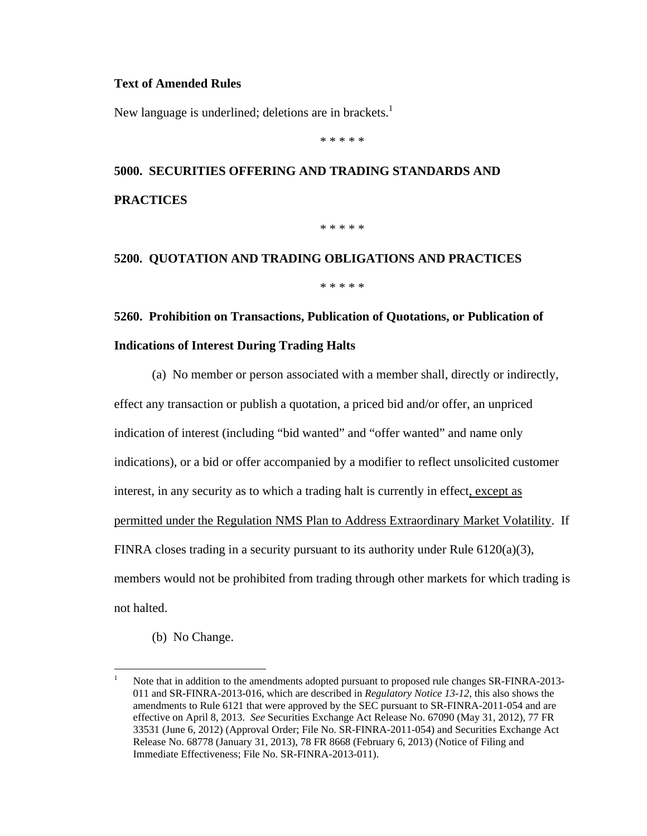#### **Text of Amended Rules**

New language is underlined; deletions are in brackets.<sup>1</sup>

\* \* \* \* \*

# **5000. SECURITIES OFFERING AND TRADING STANDARDS AND PRACTICES**

\* \* \* \* \*

### **5200. QUOTATION AND TRADING OBLIGATIONS AND PRACTICES**

\* \* \* \* \*

### **5260. Prohibition on Transactions, Publication of Quotations, or Publication of Indications of Interest During Trading Halts**

(a) No member or person associated with a member shall, directly or indirectly,

effect any transaction or publish a quotation, a priced bid and/or offer, an unpriced indication of interest (including "bid wanted" and "offer wanted" and name only indications), or a bid or offer accompanied by a modifier to reflect unsolicited customer interest, in any security as to which a trading halt is currently in effect, except as permitted under the Regulation NMS Plan to Address Extraordinary Market Volatility. If FINRA closes trading in a security pursuant to its authority under Rule  $6120(a)(3)$ , members would not be prohibited from trading through other markets for which trading is not halted.

(b) No Change.

 $\frac{1}{1}$  Note that in addition to the amendments adopted pursuant to proposed rule changes SR-FINRA-2013- 011 and SR-FINRA-2013-016, which are described in *Regulatory Notice 13-12*, this also shows the amendments to Rule 6121 that were approved by the SEC pursuant to SR-FINRA-2011-054 and are effective on April 8, 2013. *See* Securities Exchange Act Release No. 67090 (May 31, 2012), 77 FR 33531 (June 6, 2012) (Approval Order; File No. SR-FINRA-2011-054) and Securities Exchange Act Release No. 68778 (January 31, 2013), 78 FR 8668 (February 6, 2013) (Notice of Filing and Immediate Effectiveness; File No. SR-FINRA-2013-011).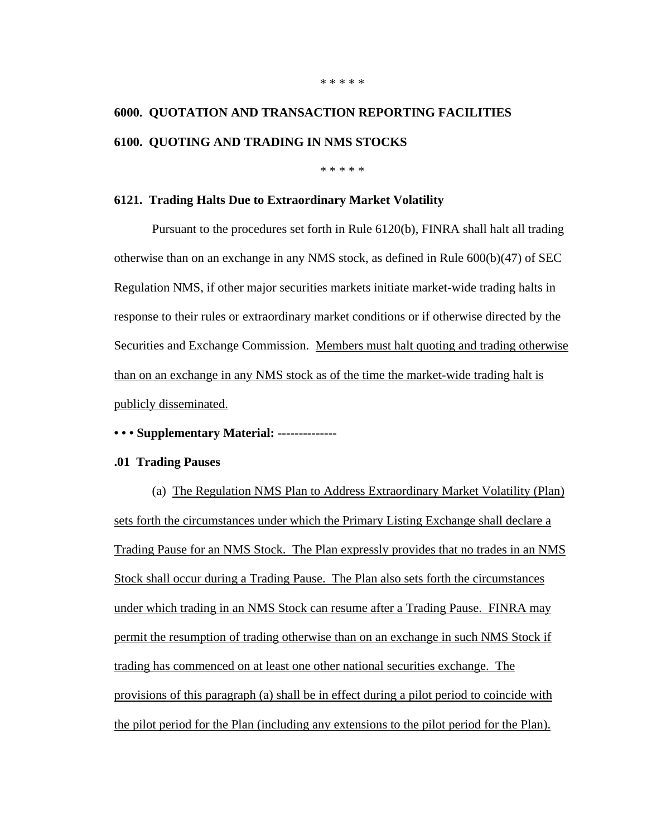## **6000. QUOTATION AND TRANSACTION REPORTING FACILITIES 6100. QUOTING AND TRADING IN NMS STOCKS**

\* \* \* \* \*

#### **6121. Trading Halts Due to Extraordinary Market Volatility**

Pursuant to the procedures set forth in Rule 6120(b), FINRA shall halt all trading otherwise than on an exchange in any NMS stock, as defined in Rule 600(b)(47) of SEC Regulation NMS, if other major securities markets initiate market-wide trading halts in response to their rules or extraordinary market conditions or if otherwise directed by the Securities and Exchange Commission. Members must halt quoting and trading otherwise than on an exchange in any NMS stock as of the time the market-wide trading halt is publicly disseminated.

#### **• • • Supplementary Material: --------------**

#### **.01 Trading Pauses**

(a) The Regulation NMS Plan to Address Extraordinary Market Volatility (Plan) sets forth the circumstances under which the Primary Listing Exchange shall declare a Trading Pause for an NMS Stock. The Plan expressly provides that no trades in an NMS Stock shall occur during a Trading Pause. The Plan also sets forth the circumstances under which trading in an NMS Stock can resume after a Trading Pause. FINRA may permit the resumption of trading otherwise than on an exchange in such NMS Stock if trading has commenced on at least one other national securities exchange. The provisions of this paragraph (a) shall be in effect during a pilot period to coincide with the pilot period for the Plan (including any extensions to the pilot period for the Plan).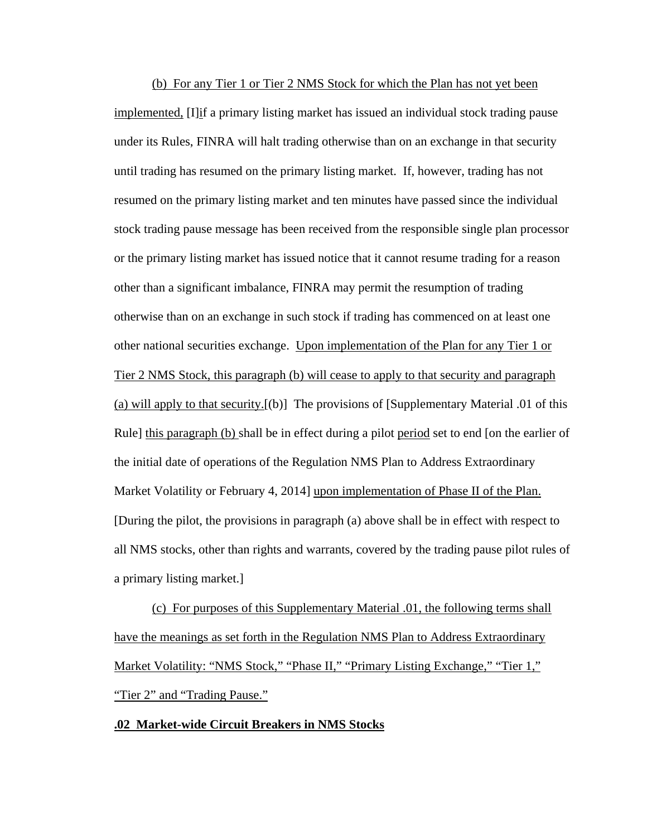(b) For any Tier 1 or Tier 2 NMS Stock for which the Plan has not yet been implemented, [I]if a primary listing market has issued an individual stock trading pause under its Rules, FINRA will halt trading otherwise than on an exchange in that security until trading has resumed on the primary listing market. If, however, trading has not resumed on the primary listing market and ten minutes have passed since the individual stock trading pause message has been received from the responsible single plan processor or the primary listing market has issued notice that it cannot resume trading for a reason other than a significant imbalance, FINRA may permit the resumption of trading otherwise than on an exchange in such stock if trading has commenced on at least one other national securities exchange. Upon implementation of the Plan for any Tier 1 or Tier 2 NMS Stock, this paragraph (b) will cease to apply to that security and paragraph (a) will apply to that security.[(b)] The provisions of [Supplementary Material .01 of this Rule] this paragraph (b) shall be in effect during a pilot period set to end [on the earlier of the initial date of operations of the Regulation NMS Plan to Address Extraordinary Market Volatility or February 4, 2014] upon implementation of Phase II of the Plan. [During the pilot, the provisions in paragraph (a) above shall be in effect with respect to all NMS stocks, other than rights and warrants, covered by the trading pause pilot rules of a primary listing market.]

(c) For purposes of this Supplementary Material .01, the following terms shall have the meanings as set forth in the Regulation NMS Plan to Address Extraordinary Market Volatility: "NMS Stock," "Phase II," "Primary Listing Exchange," "Tier 1," "Tier 2" and "Trading Pause."

#### **.02 Market-wide Circuit Breakers in NMS Stocks**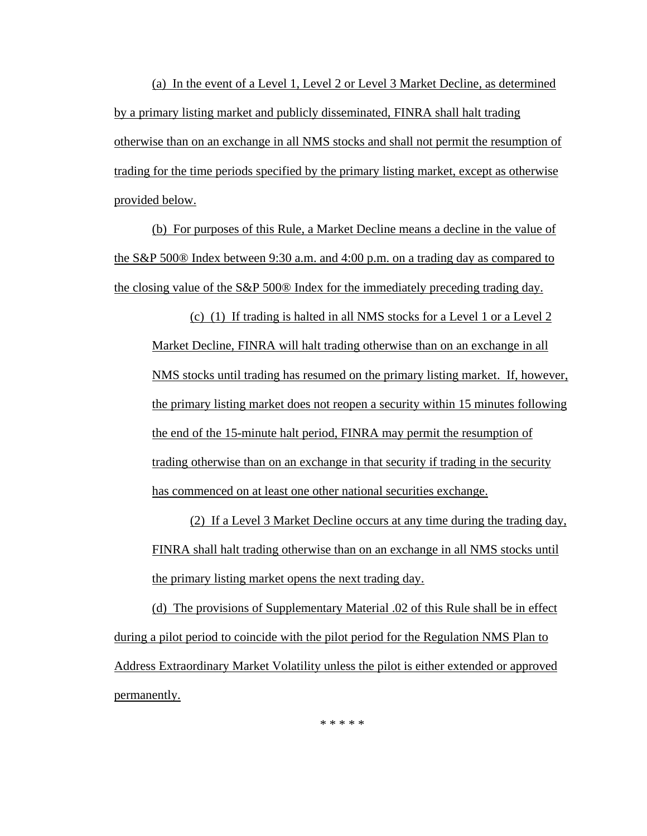(a) In the event of a Level 1, Level 2 or Level 3 Market Decline, as determined by a primary listing market and publicly disseminated, FINRA shall halt trading otherwise than on an exchange in all NMS stocks and shall not permit the resumption of trading for the time periods specified by the primary listing market, except as otherwise provided below.

(b) For purposes of this Rule, a Market Decline means a decline in the value of the S&P 500® Index between 9:30 a.m. and 4:00 p.m. on a trading day as compared to the closing value of the S&P 500® Index for the immediately preceding trading day.

(c) (1) If trading is halted in all NMS stocks for a Level 1 or a Level 2 Market Decline, FINRA will halt trading otherwise than on an exchange in all NMS stocks until trading has resumed on the primary listing market. If, however, the primary listing market does not reopen a security within 15 minutes following the end of the 15-minute halt period, FINRA may permit the resumption of trading otherwise than on an exchange in that security if trading in the security has commenced on at least one other national securities exchange.

(2) If a Level 3 Market Decline occurs at any time during the trading day, FINRA shall halt trading otherwise than on an exchange in all NMS stocks until the primary listing market opens the next trading day.

(d) The provisions of Supplementary Material .02 of this Rule shall be in effect during a pilot period to coincide with the pilot period for the Regulation NMS Plan to Address Extraordinary Market Volatility unless the pilot is either extended or approved permanently.

\* \* \* \* \*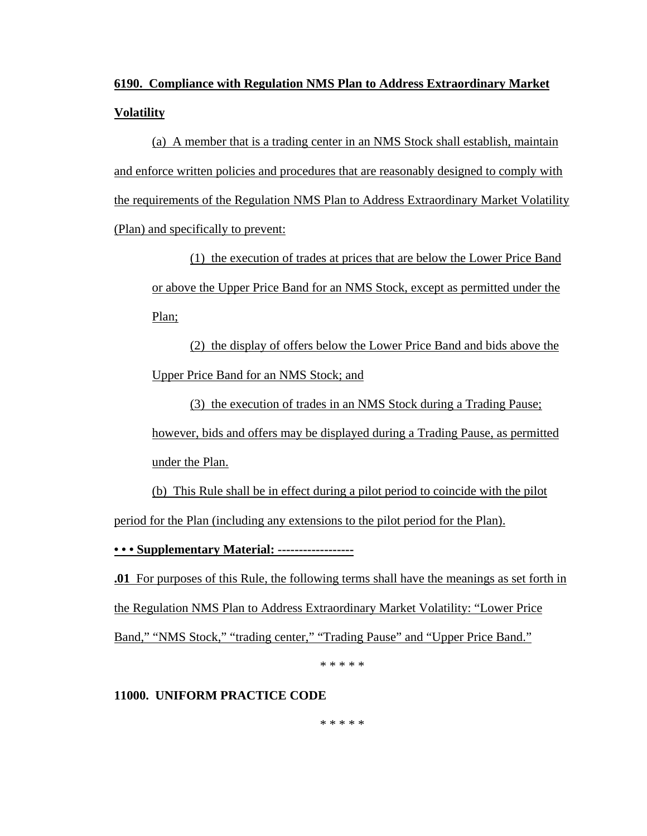## **6190. Compliance with Regulation NMS Plan to Address Extraordinary Market Volatility**

(a) A member that is a trading center in an NMS Stock shall establish, maintain and enforce written policies and procedures that are reasonably designed to comply with the requirements of the Regulation NMS Plan to Address Extraordinary Market Volatility (Plan) and specifically to prevent:

(1) the execution of trades at prices that are below the Lower Price Band or above the Upper Price Band for an NMS Stock, except as permitted under the Plan;

(2) the display of offers below the Lower Price Band and bids above the Upper Price Band for an NMS Stock; and

(3) the execution of trades in an NMS Stock during a Trading Pause; however, bids and offers may be displayed during a Trading Pause, as permitted under the Plan.

(b) This Rule shall be in effect during a pilot period to coincide with the pilot period for the Plan (including any extensions to the pilot period for the Plan).

**• • • Supplementary Material: ------------------**

**.01** For purposes of this Rule, the following terms shall have the meanings as set forth in the Regulation NMS Plan to Address Extraordinary Market Volatility: "Lower Price Band," "NMS Stock," "trading center," "Trading Pause" and "Upper Price Band."

\* \* \* \* \*

### **11000. UNIFORM PRACTICE CODE**

\* \* \* \* \*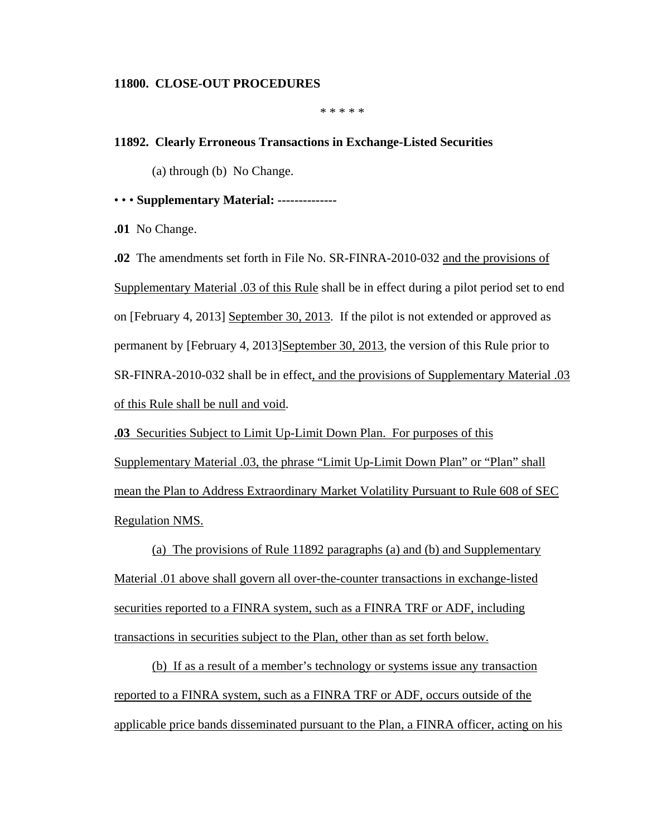#### **11800. CLOSE-OUT PROCEDURES**

\* \* \* \* \*

#### **11892. Clearly Erroneous Transactions in Exchange-Listed Securities**

(a) through (b) No Change.

#### • • • **Supplementary Material: --------------**

**.01** No Change.

**.02** The amendments set forth in File No. SR-FINRA-2010-032 and the provisions of Supplementary Material .03 of this Rule shall be in effect during a pilot period set to end on [February 4, 2013] September 30, 2013. If the pilot is not extended or approved as permanent by [February 4, 2013]September 30, 2013, the version of this Rule prior to SR-FINRA-2010-032 shall be in effect, and the provisions of Supplementary Material .03 of this Rule shall be null and void.

**.03** Securities Subject to Limit Up-Limit Down Plan. For purposes of this Supplementary Material .03, the phrase "Limit Up-Limit Down Plan" or "Plan" shall mean the Plan to Address Extraordinary Market Volatility Pursuant to Rule 608 of SEC Regulation NMS.

(a) The provisions of Rule 11892 paragraphs (a) and (b) and Supplementary Material .01 above shall govern all over-the-counter transactions in exchange-listed securities reported to a FINRA system, such as a FINRA TRF or ADF, including transactions in securities subject to the Plan, other than as set forth below.

(b) If as a result of a member's technology or systems issue any transaction reported to a FINRA system, such as a FINRA TRF or ADF, occurs outside of the applicable price bands disseminated pursuant to the Plan, a FINRA officer, acting on his